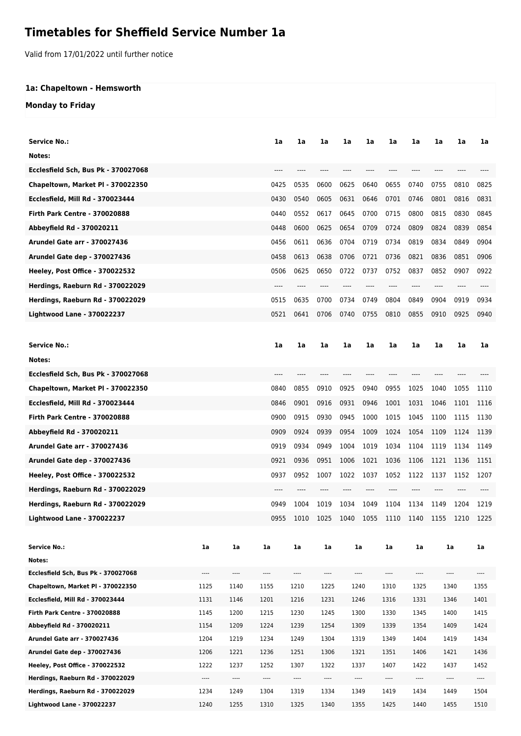## **Timetables for Sheffield Service Number 1a**

Valid from 17/01/2022 until further notice

## **1a: Chapeltown - Hemsworth**

## **Monday to Friday**

| <b>Service No.:</b>                                                  |                  |                  | 1a           | 1a           | 1a               | 1a   | 1a           | 1a               | 1a           | 1a       | 1a   | 1a               |
|----------------------------------------------------------------------|------------------|------------------|--------------|--------------|------------------|------|--------------|------------------|--------------|----------|------|------------------|
| Notes:                                                               |                  |                  |              |              |                  |      |              |                  |              |          |      |                  |
| Ecclesfield Sch, Bus Pk - 370027068                                  |                  |                  | ----         |              |                  |      |              |                  |              |          |      |                  |
| Chapeltown, Market Pl - 370022350                                    |                  |                  | 0425         | 0535         | 0600             | 0625 | 0640         | 0655             | 0740         | 0755     | 0810 | 0825             |
| Ecclesfield, Mill Rd - 370023444                                     |                  |                  | 0430         | 0540         | 0605             | 0631 | 0646         | 0701             | 0746         | 0801     | 0816 | 0831             |
| <b>Firth Park Centre - 370020888</b>                                 |                  |                  | 0440         | 0552         | 0617             | 0645 | 0700         | 0715             | 0800         | 0815     | 0830 | 0845             |
| Abbeyfield Rd - 370020211                                            |                  |                  | 0448         | 0600         | 0625             | 0654 | 0709         | 0724             | 0809         | 0824     | 0839 | 0854             |
| <b>Arundel Gate arr - 370027436</b>                                  |                  |                  | 0456         | 0611         | 0636             | 0704 | 0719         | 0734             | 0819         | 0834     | 0849 | 0904             |
| <b>Arundel Gate dep - 370027436</b>                                  |                  |                  | 0458         | 0613         | 0638             | 0706 | 0721         | 0736             | 0821         | 0836     | 0851 | 0906             |
| <b>Heeley, Post Office - 370022532</b>                               |                  |                  | 0506         | 0625         | 0650             | 0722 | 0737         | 0752             | 0837         | 0852     | 0907 | 0922             |
| Herdings, Raeburn Rd - 370022029                                     |                  |                  | ----         | ----         | ----             |      |              | ----             | $---$        | ----     | ---- |                  |
| Herdings, Raeburn Rd - 370022029                                     |                  |                  | 0515         | 0635         | 0700             | 0734 | 0749         | 0804             | 0849         | 0904     | 0919 | 0934             |
| Lightwood Lane - 370022237                                           |                  |                  | 0521         | 0641         | 0706             | 0740 | 0755         | 0810             | 0855         | 0910     | 0925 | 0940             |
|                                                                      |                  |                  |              |              |                  |      |              |                  |              |          |      |                  |
| Service No.:                                                         |                  |                  | 1a           | 1a           | 1a               | 1a   | 1a           | 1a               | 1a           | 1a       | 1a   | 1a               |
| Notes:                                                               |                  |                  |              |              |                  |      |              |                  |              |          |      |                  |
| Ecclesfield Sch, Bus Pk - 370027068                                  |                  |                  |              |              |                  |      |              |                  |              |          |      |                  |
| Chapeltown, Market Pl - 370022350                                    |                  |                  | 0840         | 0855         | 0910             | 0925 | 0940         | 0955             | 1025         | 1040     | 1055 | 1110             |
| Ecclesfield, Mill Rd - 370023444                                     |                  |                  | 0846         | 0901         | 0916             | 0931 | 0946         | 1001             | 1031         | 1046     | 1101 | 1116             |
| <b>Firth Park Centre - 370020888</b>                                 |                  |                  | 0900         | 0915         | 0930             | 0945 | 1000         | 1015             | 1045         | 1100     | 1115 | 1130             |
| Abbeyfield Rd - 370020211                                            |                  |                  | 0909         | 0924         | 0939             | 0954 | 1009         | 1024             | 1054         | 1109     | 1124 | 1139             |
| Arundel Gate arr - 370027436                                         |                  |                  | 0919         | 0934         | 0949             | 1004 | 1019         | 1034             | 1104         | 1119     | 1134 | 1149             |
| Arundel Gate dep - 370027436                                         |                  |                  | 0921         | 0936         | 0951             | 1006 | 1021         | 1036             | 1106         | 1121     | 1136 | 1151             |
| <b>Heeley, Post Office - 370022532</b>                               |                  |                  | 0937         | 0952         | 1007             | 1022 | 1037         | 1052             | 1122         | 1137     | 1152 | 1207             |
| Herdings, Raeburn Rd - 370022029                                     |                  |                  |              |              |                  |      |              |                  |              |          |      |                  |
| Herdings, Raeburn Rd - 370022029                                     |                  |                  | 0949         | 1004         | 1019             | 1034 | 1049         | 1104             | 1134         | 1149     | 1204 | 1219             |
| <b>Lightwood Lane - 370022237</b>                                    |                  |                  | 0955         | 1010         | 1025             | 1040 | 1055         | 1110             | 1140         | 1155     | 1210 | 1225             |
|                                                                      |                  |                  |              |              |                  |      |              |                  |              |          |      |                  |
| <b>Service No.:</b>                                                  | 1a               | 1a               | 1a           | 1a           | 1a               |      | 1a           | 1a               | 1a           |          | la   | 1a               |
| Notes:                                                               |                  |                  |              |              |                  |      |              |                  |              |          |      |                  |
| Ecclesfield Sch. Bus Pk - 370027068                                  | ----             | ----             | ----         | $\cdots$     | ----             |      | ----         | $\cdots$         | ----         | $\cdots$ |      | ----             |
| Chapeltown, Market PI - 370022350                                    | 1125             | 1140             | 1155         | 1210         | 1225             |      | 1240         | 1310             | 1325         | 1340     |      | 1355             |
| Ecclesfield, Mill Rd - 370023444                                     | 1131             | 1146             | 1201         | 1216         | 1231             |      | 1246         | 1316             | 1331         |          | 1346 | 1401             |
| <b>Firth Park Centre - 370020888</b>                                 | 1145             | 1200             | 1215         | 1230         | 1245             |      | 1300         | 1330             | 1345         |          | 1400 | 1415             |
| Abbeyfield Rd - 370020211                                            | 1154             | 1209             | 1224         | 1239         | 1254             |      | 1309         | 1339             | 1354         | 1409     |      | 1424             |
| <b>Arundel Gate arr - 370027436</b>                                  | 1204             | 1219             | 1234         | 1249         | 1304             |      | 1319         | 1349             | 1404         |          | 1419 | 1434             |
| Arundel Gate dep - 370027436                                         | 1206             | 1221             | 1236         | 1251         | 1306             |      | 1321         | 1351             | 1406         | 1421     |      | 1436             |
| Heeley, Post Office - 370022532                                      | 1222             | 1237             | 1252         | 1307         | 1322             |      | 1337         | 1407             | 1422         | 1437     |      | 1452             |
| Herdings, Raeburn Rd - 370022029<br>Herdings, Raeburn Rd - 370022029 | $\cdots$<br>1234 | $\cdots$<br>1249 | ----<br>1304 | ----<br>1319 | $\cdots$<br>1334 |      | ----<br>1349 | $\cdots$<br>1419 | ----<br>1434 | 1449     | ---- | $\cdots$<br>1504 |
| <b>Lightwood Lane - 370022237</b>                                    | 1240             | 1255             | 1310         | 1325         | 1340             |      | 1355         | 1425             | 1440         | 1455     |      | 1510             |
|                                                                      |                  |                  |              |              |                  |      |              |                  |              |          |      |                  |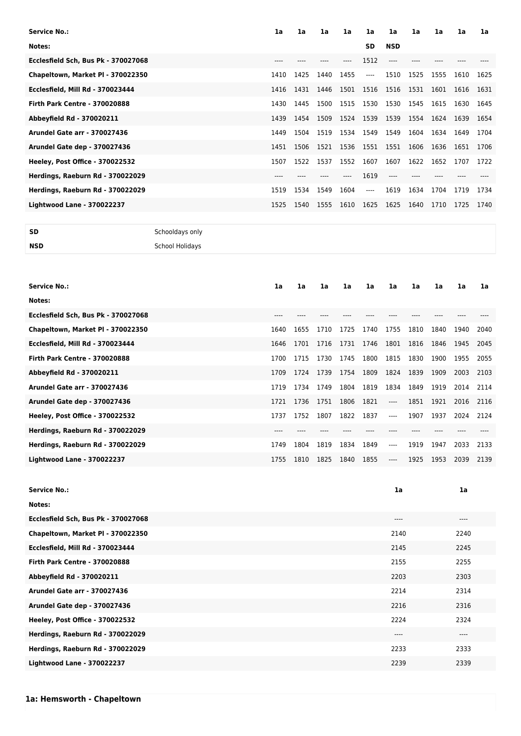| <b>Service No.:</b>                  | 1a    | 1a   | 1a   | 1a   | 1a        | 1a         | 1a        | 1a   | 1a   | 1a   |
|--------------------------------------|-------|------|------|------|-----------|------------|-----------|------|------|------|
| Notes:                               |       |      |      |      | <b>SD</b> | <b>NSD</b> |           |      |      |      |
| Ecclesfield Sch, Bus Pk - 370027068  | $---$ |      |      |      | 1512      | $---$      |           |      |      |      |
| Chapeltown, Market PI - 370022350    | 1410  | 1425 | 1440 | 1455 | $---$     | 1510       | 1525      | 1555 | 1610 | 1625 |
| Ecclesfield, Mill Rd - 370023444     | 1416  | 1431 | 1446 | 1501 | 1516      | 1516       | 1531      | 1601 | 1616 | 1631 |
| <b>Firth Park Centre - 370020888</b> | 1430  | 1445 | 1500 | 1515 | 1530      | 1530       | 1545      | 1615 | 1630 | 1645 |
| Abbeyfield Rd - 370020211            | 1439  | 1454 | 1509 | 1524 | 1539 1539 |            | 1554 1624 |      | 1639 | 1654 |
| <b>Arundel Gate arr - 370027436</b>  | 1449  | 1504 | 1519 | 1534 | 1549      | 1549       | 1604      | 1634 | 1649 | 1704 |
| <b>Arundel Gate dep - 370027436</b>  | 1451  | 1506 | 1521 | 1536 | 1551 1551 |            | 1606      | 1636 | 1651 | 1706 |
| Heeley, Post Office - 370022532      | 1507  | 1522 | 1537 | 1552 | 1607      | 1607       | 1622      | 1652 | 1707 | 1722 |
| Herdings, Raeburn Rd - 370022029     | $---$ |      |      |      | 1619      | ----       |           |      |      |      |
| Herdings, Raeburn Rd - 370022029     | 1519  | 1534 | 1549 | 1604 | $---$     | 1619       | 1634      | 1704 | 1719 | 1734 |
| <b>Lightwood Lane - 370022237</b>    | 1525  | 1540 | 1555 | 1610 | 1625      | 1625       | 1640      | 1710 | 1725 | 1740 |
|                                      |       |      |      |      |           |            |           |      |      |      |

**SD** Schooldays only **NSD** School Holidays

| Service No.:                         | 1a        | 1a   | 1a   | 1a   | 1a   | 1a    | 1a   | 1a   | 1a   | 1a   |
|--------------------------------------|-----------|------|------|------|------|-------|------|------|------|------|
| Notes:                               |           |      |      |      |      |       |      |      |      |      |
| Ecclesfield Sch, Bus Pk - 370027068  | $---$     |      |      |      |      |       |      |      |      |      |
| Chapeltown, Market PI - 370022350    | 1640      | 1655 | 1710 | 1725 | 1740 | 1755  | 1810 | 1840 | 1940 | 2040 |
| Ecclesfield, Mill Rd - 370023444     | 1646      | 1701 | 1716 | 1731 | 1746 | 1801  | 1816 | 1846 | 1945 | 2045 |
| <b>Firth Park Centre - 370020888</b> | 1700      | 1715 | 1730 | 1745 | 1800 | 1815  | 1830 | 1900 | 1955 | 2055 |
| Abbeyfield Rd - 370020211            | 1709      | 1724 | 1739 | 1754 | 1809 | 1824  | 1839 | 1909 | 2003 | 2103 |
| <b>Arundel Gate arr - 370027436</b>  | 1719      | 1734 | 1749 | 1804 | 1819 | 1834  | 1849 | 1919 | 2014 | 2114 |
| <b>Arundel Gate dep - 370027436</b>  | 1721      | 1736 | 1751 | 1806 | 1821 | $---$ | 1851 | 1921 | 2016 | 2116 |
| Heeley, Post Office - 370022532      | 1737      | 1752 | 1807 | 1822 | 1837 | $---$ | 1907 | 1937 | 2024 | 2124 |
| Herdings, Raeburn Rd - 370022029     | $- - - -$ |      |      |      |      |       |      |      |      |      |
| Herdings, Raeburn Rd - 370022029     | 1749      | 1804 | 1819 | 1834 | 1849 | $---$ | 1919 | 1947 | 2033 | 2133 |
| <b>Lightwood Lane - 370022237</b>    | 1755      | 1810 | 1825 | 1840 | 1855 | $---$ | 1925 | 1953 | 2039 | 2139 |

| <b>Service No.:</b>                  | 1a   | 1a   |
|--------------------------------------|------|------|
| Notes:                               |      |      |
| Ecclesfield Sch, Bus Pk - 370027068  | ---- | ---- |
| Chapeltown, Market PI - 370022350    | 2140 | 2240 |
| Ecclesfield, Mill Rd - 370023444     | 2145 | 2245 |
| <b>Firth Park Centre - 370020888</b> | 2155 | 2255 |
| Abbeyfield Rd - 370020211            | 2203 | 2303 |
| <b>Arundel Gate arr - 370027436</b>  | 2214 | 2314 |
| Arundel Gate dep - 370027436         | 2216 | 2316 |
| Heeley, Post Office - 370022532      | 2224 | 2324 |
| Herdings, Raeburn Rd - 370022029     | ---- | ---- |
| Herdings, Raeburn Rd - 370022029     | 2233 | 2333 |
| <b>Lightwood Lane - 370022237</b>    | 2239 | 2339 |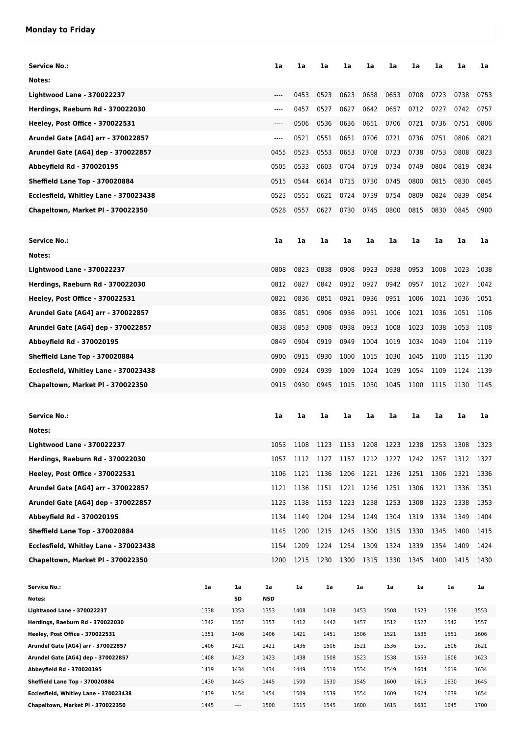## **Monday to Friday**

| <b>Service No.:</b>                                                        |              |              | 1a           | 1a           | 1a                                 | 1a   | 1a           | 1a           | 1a           | 1a   | 1a           | 1a           |
|----------------------------------------------------------------------------|--------------|--------------|--------------|--------------|------------------------------------|------|--------------|--------------|--------------|------|--------------|--------------|
| Notes:                                                                     |              |              |              |              |                                    |      |              |              |              |      |              |              |
| <b>Lightwood Lane - 370022237</b>                                          |              |              | $---$        | 0453         | 0523                               | 0623 | 0638         | 0653         | 0708         | 0723 | 0738         | 0753         |
| Herdings, Raeburn Rd - 370022030                                           |              |              | $---$        | 0457         | 0527                               | 0627 | 0642         | 0657         | 0712         | 0727 | 0742         | 0757         |
| Heeley, Post Office - 370022531                                            |              |              | $---$        | 0506         | 0536                               | 0636 | 0651         | 0706         | 0721         | 0736 | 0751         | 0806         |
| Arundel Gate [AG4] arr - 370022857                                         |              |              | $---$        | 0521         | 0551                               | 0651 | 0706         | 0721         | 0736         | 0751 | 0806         | 0821         |
| Arundel Gate [AG4] dep - 370022857                                         |              |              | 0455         | 0523         | 0553                               | 0653 | 0708         | 0723         | 0738         | 0753 | 0808         | 0823         |
| Abbeyfield Rd - 370020195                                                  |              |              | 0505         | 0533         | 0603                               | 0704 | 0719         | 0734         | 0749         | 0804 | 0819         | 0834         |
| Sheffield Lane Top - 370020884                                             |              |              | 0515         | 0544         | 0614                               | 0715 | 0730         | 0745         | 0800         | 0815 | 0830         | 0845         |
|                                                                            |              |              |              |              |                                    |      |              |              |              |      |              |              |
| Ecclesfield, Whitley Lane - 370023438                                      |              |              | 0523         | 0551         | 0621                               | 0724 | 0739         | 0754         | 0809         | 0824 | 0839         | 0854         |
| Chapeltown, Market PI - 370022350                                          |              |              | 0528         | 0557         | 0627                               | 0730 | 0745         | 0800         | 0815         | 0830 | 0845         | 0900         |
|                                                                            |              |              |              |              |                                    |      |              |              |              |      |              |              |
| <b>Service No.:</b>                                                        |              |              | 1a           | 1a           | 1a                                 | 1a   | 1a           | 1a           | 1a           | 1a   | 1a           | 1a           |
| Notes:                                                                     |              |              |              |              |                                    |      |              |              |              |      |              |              |
| <b>Lightwood Lane - 370022237</b>                                          |              |              | 0808         | 0823         | 0838                               | 0908 | 0923         | 0938         | 0953         | 1008 | 1023         | 1038         |
| Herdings, Raeburn Rd - 370022030                                           |              |              | 0812         | 0827         | 0842                               | 0912 | 0927         | 0942         | 0957         | 1012 | 1027         | 1042         |
| Heeley, Post Office - 370022531                                            |              |              | 0821         | 0836         | 0851                               | 0921 | 0936         | 0951         | 1006         | 1021 | 1036         | 1051         |
| Arundel Gate [AG4] arr - 370022857                                         |              |              | 0836         | 0851         | 0906                               | 0936 | 0951         | 1006         | 1021         | 1036 | 1051         | 1106         |
| Arundel Gate [AG4] dep - 370022857                                         |              |              | 0838         | 0853         | 0908                               | 0938 | 0953         | 1008         | 1023         | 1038 | 1053         | 1108         |
| Abbeyfield Rd - 370020195                                                  |              |              | 0849         | 0904         | 0919                               | 0949 | 1004         | 1019         | 1034         | 1049 | 1104         | 1119         |
| Sheffield Lane Top - 370020884                                             |              |              | 0900         | 0915         | 0930                               | 1000 | 1015         | 1030         | 1045         | 1100 | 1115         | 1130         |
| Ecclesfield, Whitley Lane - 370023438                                      |              |              | 0909         | 0924         | 0939                               | 1009 | 1024         | 1039         | 1054         | 1109 | 1124         | 1139         |
| Chapeltown, Market PI - 370022350                                          |              |              | 0915         | 0930         | 0945                               | 1015 | 1030         | 1045         | 1100         | 1115 | 1130         | 1145         |
|                                                                            |              |              |              |              |                                    |      |              |              |              |      |              |              |
| <b>Service No.:</b>                                                        |              |              |              |              | 1a                                 |      |              |              |              | 1a   |              |              |
|                                                                            |              |              | 1a           | 1a           |                                    | 1a   | 1a           | 1a           | 1a           |      | 1a           | 1a           |
| Notes:                                                                     |              |              |              |              |                                    |      |              |              |              |      |              |              |
| <b>Lightwood Lane - 370022237</b>                                          |              |              | 1053         | 1108         | 1123 1153 1208 1223 1238 1253 1308 |      |              |              |              |      |              | 1323         |
| Herdings, Raeburn Rd - 370022030                                           |              |              | 1057         | 1112         | 1127                               | 1157 | 1212         | 1227         | 1242         | 1257 | 1312         | 1327         |
| Heeley, Post Office - 370022531                                            |              |              | 1106         | 1121         | 1136                               | 1206 | 1221         | 1236         | 1251         | 1306 | 1321         | 1336         |
| Arundel Gate [AG4] arr - 370022857                                         |              |              | 1121         | 1136         | 1151                               | 1221 | 1236         | 1251         | 1306         | 1321 | 1336         | 1351         |
| Arundel Gate [AG4] dep - 370022857                                         |              |              | 1123         | 1138         | 1153                               | 1223 | 1238         | 1253         | 1308         | 1323 | 1338         | 1353         |
| Abbeyfield Rd - 370020195                                                  |              |              | 1134         | 1149         | 1204                               | 1234 | 1249         | 1304         | 1319         | 1334 | 1349         | 1404         |
| Sheffield Lane Top - 370020884                                             |              |              | 1145         | 1200         | 1215                               | 1245 | 1300         | 1315         | 1330         | 1345 | 1400         | 1415         |
| Ecclesfield, Whitley Lane - 370023438                                      |              |              | 1154         | 1209         | 1224                               | 1254 | 1309         | 1324         | 1339         | 1354 | 1409         | 1424         |
| Chapeltown, Market PI - 370022350                                          |              |              | 1200         | 1215         | 1230                               | 1300 | 1315         | 1330         | 1345         | 1400 | 1415         | 1430         |
|                                                                            |              |              |              |              |                                    |      |              |              |              |      |              |              |
| Service No.:                                                               | 1a           | 1a           | 1a           | 1a           | 1a                                 |      | 1a           | 1a           | 1a           |      | 1a           | 1a           |
| Notes:                                                                     |              | SD           | NSD          |              |                                    |      |              |              |              |      |              |              |
| Lightwood Lane - 370022237                                                 | 1338         | 1353         | 1353         | 1408         | 1438                               |      | 1453         | 1508         | 1523         |      | 1538         | 1553         |
| Herdings, Raeburn Rd - 370022030<br>Heeley, Post Office - 370022531        | 1342<br>1351 | 1357<br>1406 | 1357<br>1406 | 1412<br>1421 | 1442<br>1451                       |      | 1457<br>1506 | 1512<br>1521 | 1527<br>1536 |      | 1542<br>1551 | 1557<br>1606 |
| Arundel Gate [AG4] arr - 370022857                                         | 1406         | 1421         | 1421         | 1436         | 1506                               |      | 1521         | 1536         | 1551         |      | 1606         | 1621         |
| Arundel Gate [AG4] dep - 370022857                                         | 1408         | 1423         | 1423         | 1438         | 1508                               |      | 1523         | 1538         | 1553         |      | 1608         | 1623         |
| Abbeyfield Rd - 370020195                                                  | 1419         | 1434         |              |              |                                    |      | 1534         | 1549         | 1604         |      | 1619         | 1634         |
| Sheffield Lane Top - 370020884                                             |              |              | 1434         | 1449         | 1519                               |      |              |              |              |      |              |              |
|                                                                            | 1430         | 1445         | 1445         | 1500         | 1530                               |      | 1545         | 1600         | 1615         |      | 1630         | 1645         |
| Ecclesfield, Whitley Lane - 370023438<br>Chapeltown, Market PI - 370022350 | 1439<br>1445 | 1454<br>---- | 1454<br>1500 | 1509<br>1515 | 1539<br>1545                       |      | 1554<br>1600 | 1609<br>1615 | 1624<br>1630 |      | 1639<br>1645 | 1654<br>1700 |